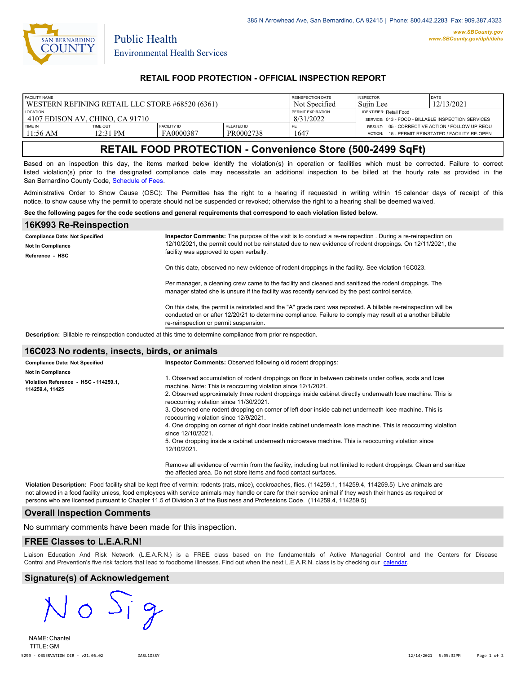

Public Health

## **RETAIL FOOD PROTECTION - OFFICIAL INSPECTION REPORT**

| <b>FACILITY NAME</b>                            |                               |                                 |                                | REINSPECTION DATE                                  | <b>INSPECTOR</b>                                                  | <b>DATE</b>                               |
|-------------------------------------------------|-------------------------------|---------------------------------|--------------------------------|----------------------------------------------------|-------------------------------------------------------------------|-------------------------------------------|
| WESTERN REFINING RETAIL LLC STORE #68520 (6361) |                               |                                 |                                | Not Specified                                      | Suiin Lee                                                         | 12/13/2021                                |
| <b>LOCATION</b>                                 |                               |                                 | <b>PERMIT EXPIRATION</b>       | <b>IDENTIFIER: Retail Food</b>                     |                                                                   |                                           |
| 14107 EDISON AV. CHINO. CA 91710                |                               |                                 | 8/31/2022                      | SERVICE: 013 - FOOD - BILLABLE INSPECTION SERVICES |                                                                   |                                           |
| TIME IN<br>11:56 AM                             | <b>TIME OUT</b><br>$12:31$ PM | <b>FACILITY ID</b><br>FA0000387 | <b>RELATED ID</b><br>PR0002738 | 1647                                               | RESULT: 05 - CORRECTIVE ACTION / FOLLOW UP REQU<br><b>ACTION:</b> | 15 - PERMIT REINSTATED / FACILITY RE-OPEN |

# **RETAIL FOOD PROTECTION - Convenience Store (500-2499 SqFt)**

Based on an inspection this day, the items marked below identify the violation(s) in operation or facilities which must be corrected. Failure to correct listed violation(s) prior to the designated compliance date may necessitate an additional inspection to be billed at the hourly rate as provided in the San Bernardino County Code, Schedule of Fees

Administrative Order to Show Cause (OSC): The Permittee has the right to a hearing if requested in writing within 15 calendar days of receipt of this notice, to show cause why the permit to operate should not be suspended or revoked; otherwise the right to a hearing shall be deemed waived.

#### **See the following pages for the code sections and general requirements that correspond to each violation listed below.**

| 16K993 Re-Reinspection                                                        |                                                                                                                                                                                                                                                                       |  |
|-------------------------------------------------------------------------------|-----------------------------------------------------------------------------------------------------------------------------------------------------------------------------------------------------------------------------------------------------------------------|--|
| <b>Compliance Date: Not Specified</b><br>Not In Compliance<br>Reference - HSC | Inspector Comments: The purpose of the visit is to conduct a re-reinspection. During a re-reinspection on<br>12/10/2021, the permit could not be reinstated due to new evidence of rodent droppings. On 12/11/2021, the<br>facility was approved to open verbally.    |  |
|                                                                               | On this date, observed no new evidence of rodent droppings in the facility. See violation 16C023.                                                                                                                                                                     |  |
|                                                                               | Per manager, a cleaning crew came to the facility and cleaned and sanitized the rodent droppings. The<br>manager stated she is unsure if the facility was recently serviced by the pest control service.                                                              |  |
|                                                                               | On this date, the permit is reinstated and the "A" grade card was reposted. A billable re-reinspection will be<br>conducted on or after 12/20/21 to determine compliance. Failure to comply may result at a another billable<br>re-reinspection or permit suspension. |  |
|                                                                               | <b>Description:</b> Billable re-reinspection conducted at this time to determine compliance from prior reinspection.                                                                                                                                                  |  |

### **16C023 No rodents, insects, birds, or animals**

| <b>Compliance Date: Not Specified</b>                    | <b>Inspector Comments:</b> Observed following old rodent droppings:                                                                                                                                                                                                                                                                                                                                                                                                                                                                                                                                                                                                                                                                                                                                                                                                 |
|----------------------------------------------------------|---------------------------------------------------------------------------------------------------------------------------------------------------------------------------------------------------------------------------------------------------------------------------------------------------------------------------------------------------------------------------------------------------------------------------------------------------------------------------------------------------------------------------------------------------------------------------------------------------------------------------------------------------------------------------------------------------------------------------------------------------------------------------------------------------------------------------------------------------------------------|
| <b>Not In Compliance</b>                                 |                                                                                                                                                                                                                                                                                                                                                                                                                                                                                                                                                                                                                                                                                                                                                                                                                                                                     |
| Violation Reference - HSC - 114259.1.<br>114259.4, 11425 | l. Observed accumulation of rodent droppings on floor in between cabinets under coffee, soda and Icee<br>machine. Note: This is reoccurring violation since 12/1/2021.<br>2. Observed approximately three rodent droppings inside cabinet directly underneath Icee machine. This is<br>reoccurring violation since 11/30/2021.<br>3. Observed one rodent dropping on corner of left door inside cabinet underneath Icee machine. This is<br>reoccurring violation since 12/9/2021.<br>4. One dropping on corner of right door inside cabinet underneath Icee machine. This is reoccurring violation<br>since 12/10/2021.<br>5. One dropping inside a cabinet underneath microwave machine. This is reoccurring violation since<br>12/10/2021.<br>Remove all evidence of vermin from the facility, including but not limited to rodent droppings. Clean and sanitize |
|                                                          | the affected area. Do not store items and food contact surfaces.                                                                                                                                                                                                                                                                                                                                                                                                                                                                                                                                                                                                                                                                                                                                                                                                    |

**Violation Description:** Food facility shall be kept free of vermin: rodents (rats, mice), cockroaches, flies. (114259.1, 114259.4, 114259.5) Live animals are not allowed in a food facility unless, food employees with service animals may handle or care for their service animal if they wash their hands as required or persons who are licensed pursuant to Chapter 11.5 of Division 3 of the Business and Professions Code. (114259.4, 114259.5)

#### **Overall Inspection Comments**

No summary comments have been made for this inspection.

### **FREE Classes to L.E.A.R.N!**

Liaison Education And Risk Network (L.E.A.R.N.) is a FREE class based on the fundamentals of Active Managerial Control and [the Centers](http://wp.sbcounty.gov/dph/events/) for Disease Control and Prevention's five risk factors that lead to foodborne illnesses. Find out when the next L.E.A.R.N. class is by checking our calendar.

### **Signature(s) of Acknowledgement**

NAME: Chantel TITLE: GM 5290 - OBSERVATION OIR - v21.06.02 DASL1O3SY 12/14/2021 5:05:32PM Page 1 of 2